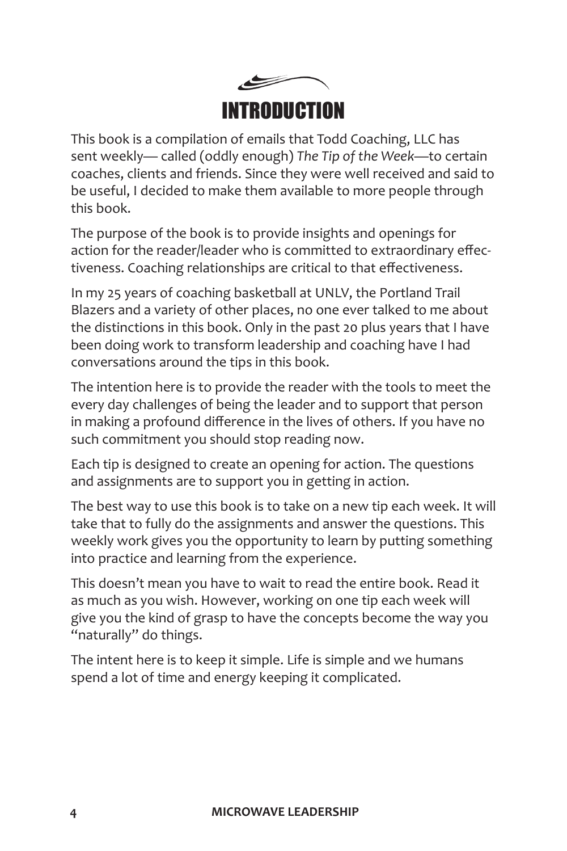

This book is a compilation of emails that Todd Coaching, LLC has sent weekly— called (oddly enough) *The Tip of the Week*—to certain coaches, clients and friends. Since they were well received and said to be useful, I decided to make them available to more people through this book.

The purpose of the book is to provide insights and openings for action for the reader/leader who is committed to extraordinary effectiveness. Coaching relationships are critical to that effectiveness.

In my 25 years of coaching basketball at UNLV, the Portland Trail Blazers and a variety of other places, no one ever talked to me about the distinctions in this book. Only in the past 20 plus years that I have been doing work to transform leadership and coaching have I had conversations around the tips in this book.

The intention here is to provide the reader with the tools to meet the every day challenges of being the leader and to support that person in making a profound difference in the lives of others. If you have no such commitment you should stop reading now.

Each tip is designed to create an opening for action. The questions and assignments are to support you in getting in action.

The best way to use this book is to take on a new tip each week. It will take that to fully do the assignments and answer the questions. This weekly work gives you the opportunity to learn by putting something into practice and learning from the experience.

This doesn't mean you have to wait to read the entire book. Read it as much as you wish. However, working on one tip each week will give you the kind of grasp to have the concepts become the way you "naturally" do things.

The intent here is to keep it simple. Life is simple and we humans spend a lot of time and energy keeping it complicated.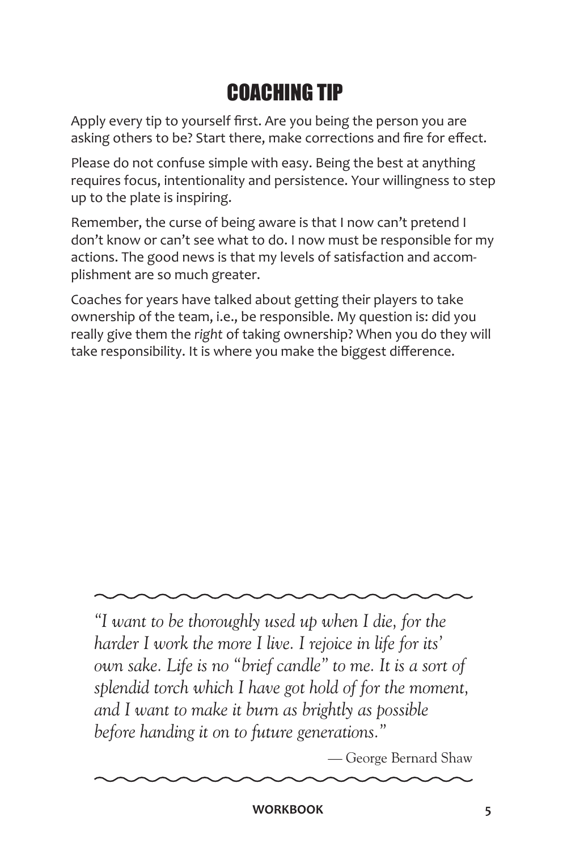### COACHING TIP

Apply every tip to yourself first. Are you being the person you are asking others to be? Start there, make corrections and fire for effect.

Please do not confuse simple with easy. Being the best at anything requires focus, intentionality and persistence. Your willingness to step up to the plate is inspiring.

Remember, the curse of being aware is that I now can't pretend I don't know or can't see what to do. I now must be responsible for my actions. The good news is that my levels of satisfaction and accomplishment are so much greater.

Coaches for years have talked about getting their players to take ownership of the team, i.e., be responsible. My question is: did you really give them the *right* of taking ownership? When you do they will take responsibility. It is where you make the biggest difference.

*"I want to be thoroughly used up when I die, for the harder I work the more I live. I rejoice in life for its' own sake. Life is no "brief candle" to me. It is a sort of splendid torch which I have got hold of for the moment, and I want to make it burn as brightly as possible before handing it on to future generations."*

— George Bernard Shaw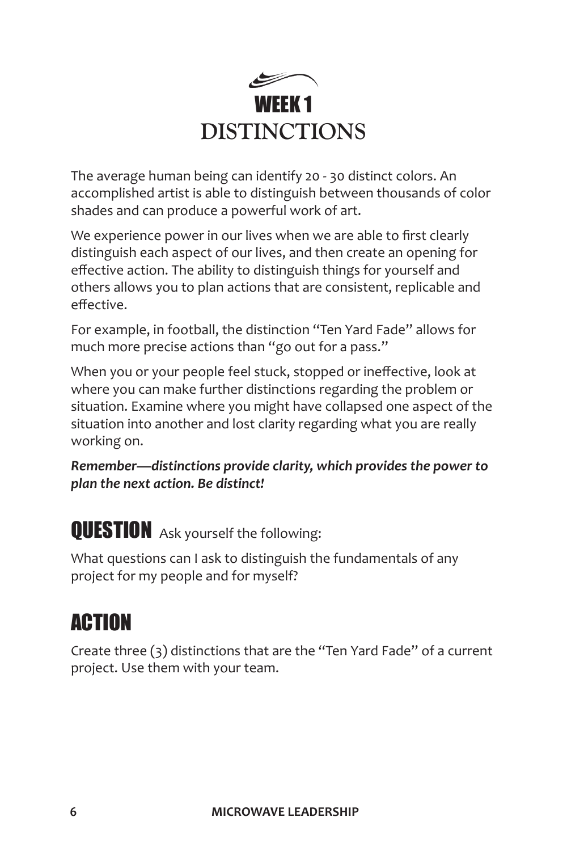

The average human being can identify 20 - 30 distinct colors. An accomplished artist is able to distinguish between thousands of color shades and can produce a powerful work of art.

We experience power in our lives when we are able to first clearly distinguish each aspect of our lives, and then create an opening for effective action. The ability to distinguish things for yourself and others allows you to plan actions that are consistent, replicable and effective.

For example, in football, the distinction "Ten Yard Fade" allows for much more precise actions than "go out for a pass."

When you or your people feel stuck, stopped or ineffective, look at where you can make further distinctions regarding the problem or situation. Examine where you might have collapsed one aspect of the situation into another and lost clarity regarding what you are really working on.

*Remember—distinctions provide clarity, which provides the power to plan the next action. Be distinct!*

**QUESTION** Ask yourself the following:

What questions can I ask to distinguish the fundamentals of any project for my people and for myself?

#### ACTION

Create three (3) distinctions that are the "Ten Yard Fade" of a current project. Use them with your team.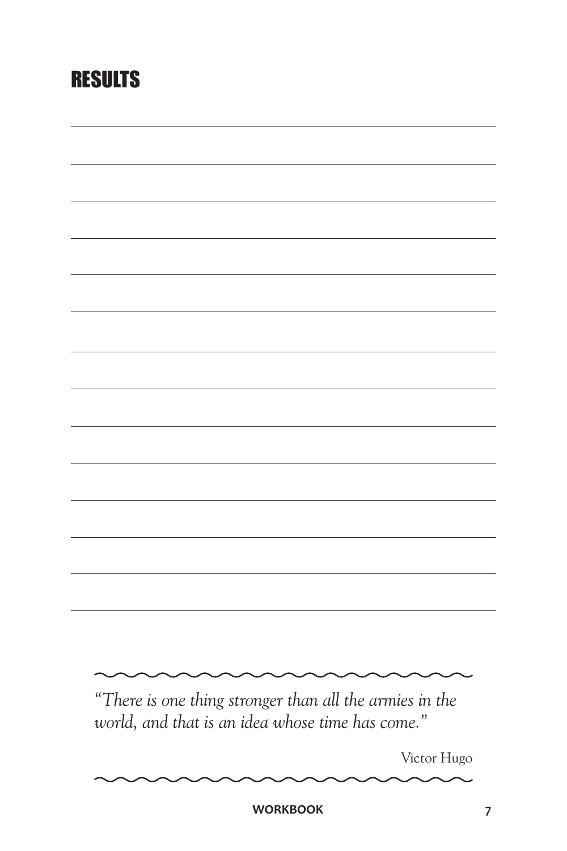#### RESULTS

| "There is one thing stronger than all the armies in the |  |
|---------------------------------------------------------|--|
|                                                         |  |
| world, and that is an idea whose time has come."        |  |
|                                                         |  |
|                                                         |  |
| Victor Hugo                                             |  |

WORKBOOK 7